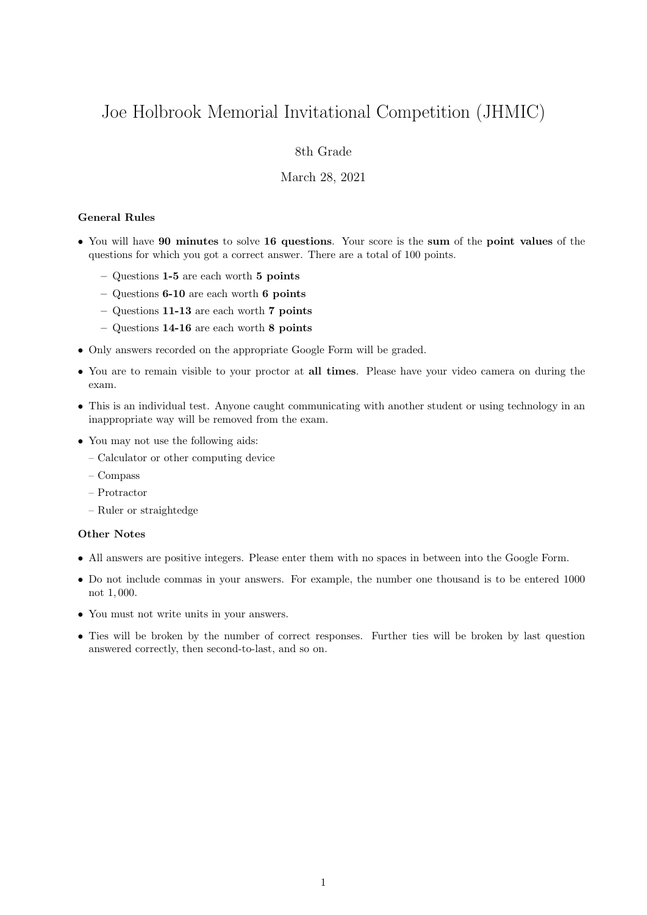# Joe Holbrook Memorial Invitational Competition (JHMIC)

# 8th Grade

## March 28, 2021

### General Rules

- You will have 90 minutes to solve 16 questions. Your score is the sum of the point values of the questions for which you got a correct answer. There are a total of 100 points.
	- Questions 1-5 are each worth 5 points
	- Questions 6-10 are each worth 6 points
	- Questions 11-13 are each worth 7 points
	- Questions 14-16 are each worth 8 points
- Only answers recorded on the appropriate Google Form will be graded.
- You are to remain visible to your proctor at all times. Please have your video camera on during the exam.
- This is an individual test. Anyone caught communicating with another student or using technology in an inappropriate way will be removed from the exam.
- You may not use the following aids:
	- Calculator or other computing device
	- Compass
	- Protractor
	- Ruler or straightedge

### Other Notes

- All answers are positive integers. Please enter them with no spaces in between into the Google Form.
- Do not include commas in your answers. For example, the number one thousand is to be entered 1000 not 1, 000.
- You must not write units in your answers.
- Ties will be broken by the number of correct responses. Further ties will be broken by last question answered correctly, then second-to-last, and so on.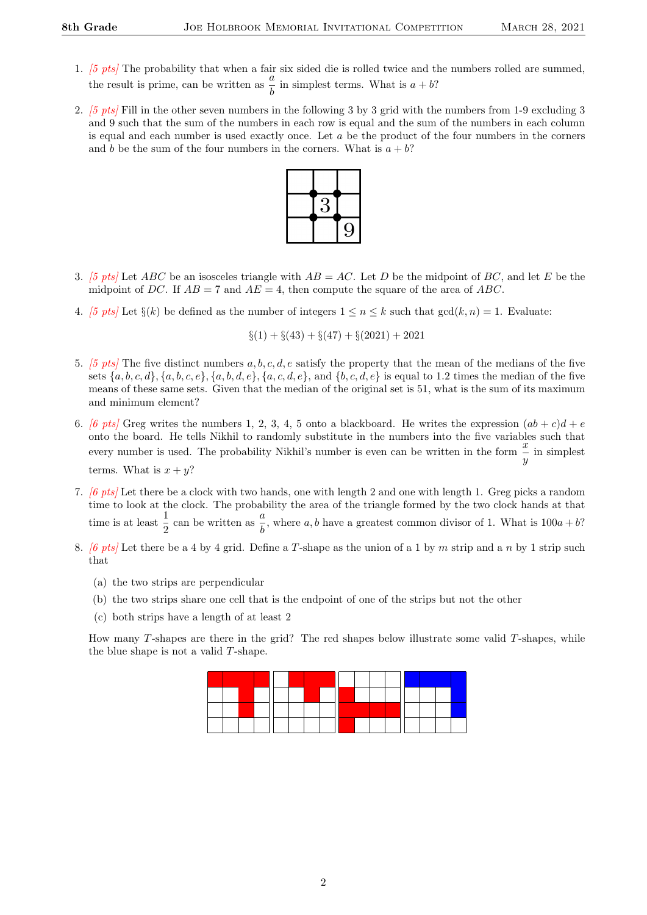- 1. [5 pts] The probability that when a fair six sided die is rolled twice and the numbers rolled are summed, the result is prime, can be written as  $\frac{a}{b}$  in simplest terms. What is  $a + b$ ?
- 2. [5 pts] Fill in the other seven numbers in the following 3 by 3 grid with the numbers from 1-9 excluding 3 and 9 such that the sum of the numbers in each row is equal and the sum of the numbers in each column is equal and each number is used exactly once. Let  $a$  be the product of the four numbers in the corners and b be the sum of the four numbers in the corners. What is  $a + b$ ?



- 3. [5 pts] Let ABC be an isosceles triangle with  $AB = AC$ . Let D be the midpoint of BC, and let E be the midpoint of DC. If  $AB = 7$  and  $AE = 4$ , then compute the square of the area of ABC.
- 4. [5 pts] Let  $\S(k)$  be defined as the number of integers  $1 \le n \le k$  such that  $gcd(k, n) = 1$ . Evaluate:

$$
\S(1) + \S(43) + \S(47) + \S(2021) + 2021
$$

- 5. [5 pts] The five distinct numbers  $a, b, c, d, e$  satisfy the property that the mean of the medians of the five sets  $\{a, b, c, d\}, \{a, b, c, e\}, \{a, b, d, e\}, \{a, c, d, e\},$  and  $\{b, c, d, e\}$  is equal to 1.2 times the median of the five means of these same sets. Given that the median of the original set is 51, what is the sum of its maximum and minimum element?
- 6. [6 pts] Greg writes the numbers 1, 2, 3, 4, 5 onto a blackboard. He writes the expression  $(ab + c)d + e$ onto the board. He tells Nikhil to randomly substitute in the numbers into the five variables such that every number is used. The probability Nikhil's number is even can be written in the form  $\frac{x}{y}$  in simplest terms. What is  $x + y$ ?
- 7. [6 pts] Let there be a clock with two hands, one with length 2 and one with length 1. Greg picks a random time to look at the clock. The probability the area of the triangle formed by the two clock hands at that time is at least  $\frac{1}{2}$  can be written as  $\frac{a}{b}$ , where a, b have a greatest common divisor of 1. What is  $100a + b$ ?
- 8.  $[6 \; pts]$  Let there be a 4 by 4 grid. Define a T-shape as the union of a 1 by m strip and a n by 1 strip such that
	- (a) the two strips are perpendicular
	- (b) the two strips share one cell that is the endpoint of one of the strips but not the other
	- (c) both strips have a length of at least 2

How many  $T$ -shapes are there in the grid? The red shapes below illustrate some valid  $T$ -shapes, while the blue shape is not a valid T-shape.